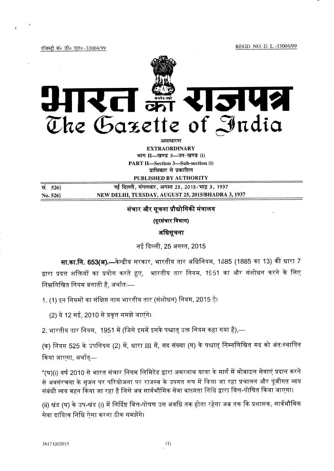REGD. NO. D. L.-33004/99

रजिस्टी सं० डी० एल०-33004/99



असाधारण **EXTRAORDINARY** भाग II-खण्ड 3-3प-खण्ड (i) **PART II-Section 3-Sub-section (i)** प्राधिकार से प्रकाशित

PUBLISHED BY AUTHORITY

नई दिल्ली, मंगलवार, अगस्त 25, 2015/भाद्र 3, 1937 सं. 5261 NEW DELHI, TUESDAY, AUGUST 25, 2015/BHADRA 3, 1937 No. 526]

## संचार और सूचना प्रौद्योगिकी मंत्रालय

(दूरसंचार विभाग)

अधिसूचना

नई दिल्ली, 25 अगस्त, 2015

सा.का.नि. 653(अ).—केन्द्रीय सरकार, भारतीय तार अधिनियम, 1885 (1885 का 13) की धारा 7 द्वारा प्रदत्त शक्तियों का प्रयोग करते हुए, भारतीय तार नियम, 1951 का और संशोधन करने के लिए निम्नलिखित नियम बनाती है, अर्थातः—

1. (1) इन नियमों का संक्षिप्त नाम भारतीय तार (संशोधन) नियम, 2015 है।

(2) ये 12 मई, 2010 से प्रवृत्त समझे जाएंगे।

2. भारतीय तार नियम, 1951 में (जिसे इसमें इसके पश्चात् उक्त नियम कहा गया है),—

(क) नियम 525 के उपनियम (2) में, धारा III में, मद संख्या (ग) के पश्चात् निम्नलिखित मद को अंतःस्थापित किया जाएगा, अर्थात्—

"(घ)(i) वर्ष 2010 से भारत संचार निगम लिमिटेड द्वारा अमरनाथ यात्रा के मार्ग में मोबाइल सेवाएं प्रदान करने से अवसंरचना के सुजन पर परियोजना पर राजस्व के उपगत रूप में किया जा रहा प्रचालन और पूंजीगत व्यय संबंधी व्यय वहन किया जा रहा है जिसे अब सार्वभौमिक सेवा बाध्यता निधि द्वारा वित्त-पोषित किया जाएगा।

(ii) खंड (घ) के उप-खंड (i) में निर्दिष्ट वित्त-पोषण उस अवधि तक होता रहेगा जब तक कि प्रशासक, सार्वभौमिक सेवा दायित्व निधि ऐसा करना ठीक समझेंगे।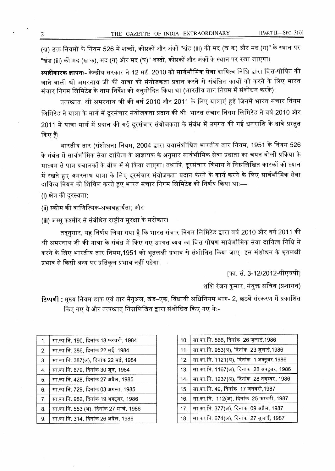(ख) उक्त नियमों के नियम 526 में शब्दों, कोष्ठकों और अंकों "खंड (iii) की मद (ख क) और मद (ग)" के स्थान पर "खंड (iii) की मद (ख क), मद (ग) और मद (घ)" शब्दों, कोष्ठकों और अंकों के स्थान पर रखा जाएगा।

**स्पष्टीकारक ज्ञापनः-** केन्द्रीय सरकार ने 12 मई. 2010 को सार्वभौमिक सेवा दायित्व निधि द्वारा वित्त-पोषित की जाने वाली श्री अमरनाथ जी की यात्रा को संयोजकता प्रदान करने से संबंधित कार्यों को करने के लिए भारत संचार निगम लिमिटेड के नाम निर्देश को अनुमोदित किया था (भारतीय तार नियम में संशोधन करके)।

तत्पश्चात, श्री अमरनाथ जी की वर्ष 2010 और 2011 के लिए यात्राएं हुईं जिनमें भारत संचार निगम लिमिटेड ने यात्रा के मार्ग में दूरसंचार संयोजकता प्रदान की थी। भारत संचार निगम लिमिटेड ने वर्ष 2010 और 2011 में यात्रा मार्ग में प्रदान की गई दूरसंचार संयोजकता के संबंध में उपगत की गई धनराशि के दावे प्रस्तुत किए हैं।

भारतीय तार (संशोधन) नियम, 2004 द्वारा यथासंशोधित भारतीय तार नियम, 1951 के नियम 526 के संबंध में सार्वभौमिक सेवा दायित्व के आज्ञापक के अनुसार सार्वभौमिक सेवा प्रदाता का चयन बोली प्रक्रिया के माध्यम से पात्र प्रचालकों के बीच में से किया जाएगा। तथापि, दूरसंचार विभाग ने निम्नलिखित कारकों को ध्यान में रखते हुए अमरनाथ यात्रा के लिए दूरसंचार संयोजकता प्रदान करने के कार्य करने के लिए सार्वभौमिक सेवा दायित्व नियम को शिथिल करते हुए भारत संचार निगम लिमिटेड को निर्णय किया थाः—

(i) क्षेत्र की दूरस्थता;

(ii) स्कीम की वाणिज्यिक-अव्यवहार्यता; और

(iii) जम्मू कश्मीर से संबंधित राष्ट्रीय सुरक्षा के सरोकार।

तदनुसार, यह निर्णय लिया गया है कि भारत संचार निगम लिमिटेड द्वारा वर्ष 2010 और वर्ष 2011 की श्री अमरनाथ जी की यात्रा के संबंध में किए गए उपगत व्यय का वित्त पोषण सार्वभौमिक सेवा दायित्व निधि से करने के लिए भारतीय तार नियम,1951 को भूतलक्षी प्रभाव से संशोधित किया जाए। इस संशोधन के भूतलक्षी प्रभाव से किसी अन्य पर प्रतिकूल प्रभाव नहीं पड़ेगा।

[फा. सं. 3-12/2012-पीएचपी]

शशि रंजन कुमार, संयुक्त सचिव (प्रशासन)

**टिप्पणी :** मुख्य नियम डाक एवं तार मैनुअल, खंड–एक, विधायी अधिनियम भाग- 2, छठवें संस्करण में प्रकाशित किए गए थे और तत्पश्चात् निम्नलिखित द्वारा संशोधित किए गए थेः-

| सा.का.नि. 190, दिनांक 18 फरवरी, 1984     |
|------------------------------------------|
| सा.का.नि. 386, दिनांक 22 मई, 1984        |
| सा.का.नि. 387(अ), दिनांक 22 मई, 1984     |
| सा.का.नि. 679, दिनांक 30 जून, 1984       |
| सा.का.नि. 428, दिनांक 27 अप्रैल, 1985    |
| सा.का.नि. 729, दिनांक 03 अगस्त, 1985     |
| सा.का.नि. 982, दिनांक 19 अक्टूबर, 1986   |
| सा.का.नि. 553 (अ), दिनांक 27 मार्च, 1986 |
| सा.का.नि. 314, दिनांक 26 अप्रैल, 1986    |
|                                          |

| 10. | सा.का.नि. 566, दिनांक 26 जुलाई,1986        |
|-----|--------------------------------------------|
| 11. | सा.का.नि. 953(अ), दिनांक 23 जुलाई,1986     |
| 12. | सा.का.नि. 1121(अ), दिनांक 1 अक्टूबर,1986   |
| 13. | सा.का.नि. 1167(अ), दिनांक 28 अक्टूबर, 1986 |
| 14. | सा.का.नि. 1237(अ), दिनांक 28 नवम्बर, 1986  |
| 15. | सा.का.नि. 49, दिनांक 17 जनवरी,1987         |
| 16. | सा.का.नि. 112(अ), दिनांक 25 फरवरी, 1987    |
| 17. | सा.का.नि. 377(अ), दिनांक 09 अप्रैल, 1987   |
| 18. | सा.का.नि. 674(अ), दिनांक 27 जुलाई, 1987    |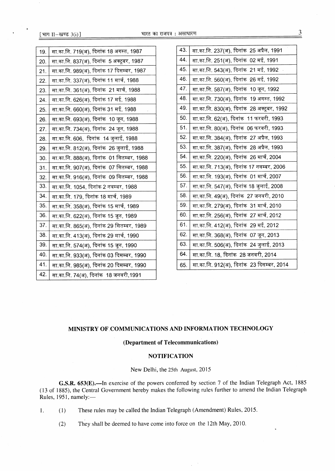[ भाग  $II$ -खण्ड 3(i) ]

| सा.का.नि. 837(अ), दिनांक  5 अक्टूबर, 1987<br>20.<br>सा.का.नि. 989(अ), दिनांक 17 दिसम्बर, 1987<br>21.<br>सा.का.नि. 337(अ), दिनांक 11 मार्च, 1988<br>22.<br>सा.का.नि. 361(अ), दिनांक  21 मार्च, 1988<br>23.<br>सा.का.नि. 626(अ), दिनांक 17 मई, 1988<br>24.<br>सा.का.नि. 660(अ), दिनांक 31 मई, 1988<br>25.<br>सा.का.नि. 693(अ), दिनांक 10 जून, 1988<br>26.<br>सा.का.नि. 734(अ), दिनांक 24 जून, 1988<br>27.<br>सा.का.नि. 606,  दिनांक  14 जुलाई, 1988<br>28.<br>सा.का.नि. 812(अ), दिनांक  26 जुलाई, 1988<br>29.<br>सा.का.नि. 888(अ), दिनांक  01 सितम्बर, 1988<br>30.<br>सा.का.नि. 907(अ), दिनांक  07 सितम्बर, 1988<br>31.<br>सा.का.नि. 916(अ), दिनांक  09 सितम्बर, 1988<br>32.<br>33.<br>सा.का.नि. 1054, दिनांक 2 नवम्बर, 1988<br>34.<br>सा.का.नि. 179, दिनांक 18 मार्च, 1989<br>35.<br>सा.का.नि. 358(अ), दिनांक 15 मार्च, 1989<br>36.<br>सा.का.नि. 622(अ), दिनांक 15 जून, 1989<br>37.<br>सा.का.नि. 865(अ), दिनांक 29 सितम्बर, 1989<br>38.<br>सा.का.नि. 413(अ), दिनांक 29 मार्च, 1990<br>39.<br>सा.का.नि. 574(अ), दिनांक 15 जून, 1990<br>40.<br>सा.का.नि. 933(अ), दिनांक 03 दिसम्बर, 1990<br>41.<br>सा.का.नि. 985(अ), दिनांक 20 दिसम्बर, 1990<br>42.<br>सा.का.नि. 74(अ), दिनांक  18 जनवरी,1991 | 19. | सा.का.नि. 719(अ), दिनांक 18 अगस्त, 1987 |
|--------------------------------------------------------------------------------------------------------------------------------------------------------------------------------------------------------------------------------------------------------------------------------------------------------------------------------------------------------------------------------------------------------------------------------------------------------------------------------------------------------------------------------------------------------------------------------------------------------------------------------------------------------------------------------------------------------------------------------------------------------------------------------------------------------------------------------------------------------------------------------------------------------------------------------------------------------------------------------------------------------------------------------------------------------------------------------------------------------------------------------------------------------------------------------------------|-----|-----------------------------------------|
|                                                                                                                                                                                                                                                                                                                                                                                                                                                                                                                                                                                                                                                                                                                                                                                                                                                                                                                                                                                                                                                                                                                                                                                            |     |                                         |
|                                                                                                                                                                                                                                                                                                                                                                                                                                                                                                                                                                                                                                                                                                                                                                                                                                                                                                                                                                                                                                                                                                                                                                                            |     |                                         |
|                                                                                                                                                                                                                                                                                                                                                                                                                                                                                                                                                                                                                                                                                                                                                                                                                                                                                                                                                                                                                                                                                                                                                                                            |     |                                         |
|                                                                                                                                                                                                                                                                                                                                                                                                                                                                                                                                                                                                                                                                                                                                                                                                                                                                                                                                                                                                                                                                                                                                                                                            |     |                                         |
|                                                                                                                                                                                                                                                                                                                                                                                                                                                                                                                                                                                                                                                                                                                                                                                                                                                                                                                                                                                                                                                                                                                                                                                            |     |                                         |
|                                                                                                                                                                                                                                                                                                                                                                                                                                                                                                                                                                                                                                                                                                                                                                                                                                                                                                                                                                                                                                                                                                                                                                                            |     |                                         |
|                                                                                                                                                                                                                                                                                                                                                                                                                                                                                                                                                                                                                                                                                                                                                                                                                                                                                                                                                                                                                                                                                                                                                                                            |     |                                         |
|                                                                                                                                                                                                                                                                                                                                                                                                                                                                                                                                                                                                                                                                                                                                                                                                                                                                                                                                                                                                                                                                                                                                                                                            |     |                                         |
|                                                                                                                                                                                                                                                                                                                                                                                                                                                                                                                                                                                                                                                                                                                                                                                                                                                                                                                                                                                                                                                                                                                                                                                            |     |                                         |
|                                                                                                                                                                                                                                                                                                                                                                                                                                                                                                                                                                                                                                                                                                                                                                                                                                                                                                                                                                                                                                                                                                                                                                                            |     |                                         |
|                                                                                                                                                                                                                                                                                                                                                                                                                                                                                                                                                                                                                                                                                                                                                                                                                                                                                                                                                                                                                                                                                                                                                                                            |     |                                         |
|                                                                                                                                                                                                                                                                                                                                                                                                                                                                                                                                                                                                                                                                                                                                                                                                                                                                                                                                                                                                                                                                                                                                                                                            |     |                                         |
|                                                                                                                                                                                                                                                                                                                                                                                                                                                                                                                                                                                                                                                                                                                                                                                                                                                                                                                                                                                                                                                                                                                                                                                            |     |                                         |
|                                                                                                                                                                                                                                                                                                                                                                                                                                                                                                                                                                                                                                                                                                                                                                                                                                                                                                                                                                                                                                                                                                                                                                                            |     |                                         |
|                                                                                                                                                                                                                                                                                                                                                                                                                                                                                                                                                                                                                                                                                                                                                                                                                                                                                                                                                                                                                                                                                                                                                                                            |     |                                         |
|                                                                                                                                                                                                                                                                                                                                                                                                                                                                                                                                                                                                                                                                                                                                                                                                                                                                                                                                                                                                                                                                                                                                                                                            |     |                                         |
|                                                                                                                                                                                                                                                                                                                                                                                                                                                                                                                                                                                                                                                                                                                                                                                                                                                                                                                                                                                                                                                                                                                                                                                            |     |                                         |
|                                                                                                                                                                                                                                                                                                                                                                                                                                                                                                                                                                                                                                                                                                                                                                                                                                                                                                                                                                                                                                                                                                                                                                                            |     |                                         |
|                                                                                                                                                                                                                                                                                                                                                                                                                                                                                                                                                                                                                                                                                                                                                                                                                                                                                                                                                                                                                                                                                                                                                                                            |     |                                         |
|                                                                                                                                                                                                                                                                                                                                                                                                                                                                                                                                                                                                                                                                                                                                                                                                                                                                                                                                                                                                                                                                                                                                                                                            |     |                                         |
|                                                                                                                                                                                                                                                                                                                                                                                                                                                                                                                                                                                                                                                                                                                                                                                                                                                                                                                                                                                                                                                                                                                                                                                            |     |                                         |
|                                                                                                                                                                                                                                                                                                                                                                                                                                                                                                                                                                                                                                                                                                                                                                                                                                                                                                                                                                                                                                                                                                                                                                                            |     |                                         |
|                                                                                                                                                                                                                                                                                                                                                                                                                                                                                                                                                                                                                                                                                                                                                                                                                                                                                                                                                                                                                                                                                                                                                                                            |     |                                         |

| 43. | सा.का.नि. 237(अ), दिनांक  25 अप्रैल, 1991 |
|-----|-------------------------------------------|
| 44. | सा.का.नि. 251(अ), दिनांक  02 मई, 1991     |
| 45. | सा.का.नि. 543(अ), दिनांक  21 मई, 1992     |
| 46. | सा.का.नि. 560(अ), दिनांक  26 मई, 1992     |
| 47. | सा.का.नि. 587(अ), दिनांक 10 जून, 1992     |
| 48. | सा.का.नि. 730(अ), दिनांक 19 अगस्त, 1992   |
| 49. | सा.का.नि. 830(अ), दिनांक 28 अक्टूबर, 1992 |
| 50. | सा.का.नि. 62(अ), दिनांक 11 फरवरी, 1993    |
| 51. | सा.का.नि. 80(अ), दिनांक 06 फरवरी, 1993    |
| 52. | सा.का.नि. 384(अ), दिनांक  27 अप्रैल, 1993 |
| 53. | सा.का.नि. 387(अ), दिनांक 28 अप्रैल, 1993  |
| 54. | सा.का.नि. 220(अ), दिनांक  26 मार्च, 2004  |
| 55. | सा.का.नि. 713(अ), दिनांक 17 नवम्बर, 2006  |
| 56. | सा.का.नि. 193(अ), दिनांक  01 मार्च, 2007  |
| 57. | सा.का.नि. 547(अ), दिनांक 18 जुलाई, 2008   |
| 58. | सा.का.नि. 49(अ), दिनांक 27 जनवरी, 2010    |
| 59. | सा.का.नि. 279(अ), दिनांक  31 मार्च, 2010  |
| 60. | सा.का.नि. 256(अ), दिनांक  27 मार्च, 2012  |
| 61. | सा.का.नि. 412(अ), दिनांक 29 मई, 2012      |
| 62. | सा.का.नि. 368(अ), दिनांक 07 जून, 2013     |
| 63. | सा.का.नि. 506(अ), दिनांक  24 जुलाई, 2013  |
| 64. | सा.का.नि. 18, दिनांक  28 जनवरी, 2014      |
| 65. | सा.का.नि. 912(अ), दिनांक 23 दिसम्बर, 2014 |
|     |                                           |

# MINISTRY OF COMMUNICATIONS AND INFORMATION TECHNOLOGY

### (Department of Telecommunications)

## **NOTIFICATION**

### New Delhi, the 25th August, 2015

G.S.R. 653(E).-In exercise of the powers conferred by section 7 of the Indian Telegraph Act, 1885 (13 of 1885), the Central Government hereby makes the following rules further to amend the Indian Telegraph Rules, 1951, namely:-

1. (1) These rules may be called the Indian Telegraph (Amendment) Rules, 2015.

(2) They shall be deemed to have come into force on the 12th May, 2010.

 $\mathfrak{Z}$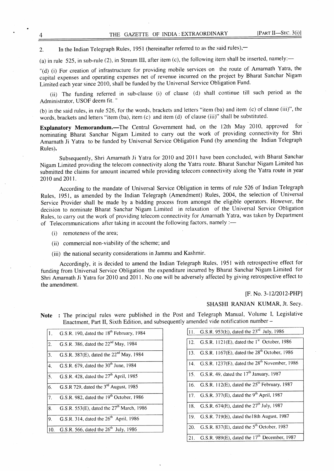2. In the Indian Telegraph Rules, 1951 (hereinafter referred to as the said rules),—

(a) in rule 525, in sub-rule (2), in Stream III, after item (c), the following item shall be inserted, namely:—

"(d) (i) For creation of infrastructure for providing mobile services on the route of Amarnath Yatra, the capital expenses and operating expenses net of revenue incurred on the project by Bharat Sanchar Nigam Limited each year since 2010, shall be funded by the Universal Service Obligation Fund.

(ii) The funding referred in sub-clause (i) of clause (d) shall continue till such period as the Administrator, USOF deem fit. "

(b) in the said rules, in rule 526, for the words, brackets and letters "item (ba) and item (c) of clause (iii)", the words, brackets and letters "item (ba), item (c) and item (d) of clause (iii)" shall be substituted.

Explanatory Memorandum.-The Central Government had, on the 12th May 2010, approved for nominating Bharat Sanchar Nigam Limited to carry out the work of providing connectivity for Shri Amarnath Ji Yatra to be funded by Universal Service Obligation Fund (by amending the Indian Telegraph Rules).

Subsequently, Shri Amarnath Ji Yatra for 2010 and 20ll have been concluded, with Bharat Sanchar Nigam Limited providing the telecom connectivity along the Yatra route. Bharat Sanchar Nigam Limited has submitted the claims for amount incurred while providing telecom connectivity along the Yatra route in year 2010 and 2011.

According to the mandate of Universal Service Obligation in terms of rule 526 of Indian Telegraph Rules, 1951, as amended by the Indian Telegraph (Amendment) Rules, 2004, the selection of Universal Service Provider shall be made by a bidding process fiom amongst the eligible operators. However, the decision to nominate Bharat Sanchar Nigam Limited in relaxation of the Universal Service Obligation Rules, to carry out the work of providing telecom connectivity for Amarnath Yatra, was taken by Department of Telecommunications after taking in account the following factors, namely :-

- (i) remoteness of the area;
- (ii) commercial non-viability of the scheme; and
- (iii) the national security considerations in Jammu and Kashmir.

Accordingly, it is decided to amend the Indian Telegraph Rules, 1951 with retrospective effect for funding from Universal Service Obligation the expenditure incurred by Bharat Sanchar Nigam Limited for Shri Amarnath Ji Yatra for 2010 and 2011. No one will be adversely affected by giving retrospective effect to the amendment.

#### [F. No. 3-12/2012-PHP]

#### SHASHI RANJAN KUMAR, Jt. Secy.

| $\mathbf{1}$ .   | G.S.R. 190, dated the 18 <sup>th</sup> February, 1984 |
|------------------|-------------------------------------------------------|
| $\overline{2}$ . | G.S.R. 386, dated the 22 <sup>nd</sup> May, 1984      |
| $\overline{3}$ . | G.S.R. 387(E), dated the 22 <sup>nd</sup> May, 1984   |
| $\overline{4}$ . | G.S.R. 679, dated the 30 <sup>th</sup> June, 1984     |
| $\overline{5}$ . | G.S.R. 428, dated the $27th$ April, 1985              |
| 6.               | G.S.R 729, dated the 3 <sup>rd</sup> August, 1985     |
| 7.               | G.S.R. 982, dated the 19 <sup>th</sup> October, 1986  |
| 8.               | G.S.R. 553(E), dated the 27 <sup>th</sup> March, 1986 |
| 9.               | G.S.R. 314, dated the 26 <sup>th</sup> April, 1986    |
| 10.              | G.S.R. 566, dated the $26th$ July, 1986               |
|                  |                                                       |

Note : The principal rules were published in the Post and Telegraph Manual, Volume I, Legislative Enactment, Part II, Sixth Edition, and subsequently amended vide notification number -

| 11. | G.S.R. 953(E), dated the $23^{rd}$ July, 1986                    |
|-----|------------------------------------------------------------------|
|     | 12. G.S.R. 1121(E), dated the 1 <sup>st</sup> October, 1986      |
|     | 13. G.S.R. 1167(E), dated the 28 <sup>th</sup> October, 1986     |
|     | 14. G.S.R. 1237(E), dated the 28 <sup>th</sup> November, 1986    |
|     | 15. G.S.R. 49, dated the 17 <sup>th</sup> January, 1987          |
|     | 16. G.S.R. 112(E), dated the 25 <sup>th</sup> February, 1987     |
|     | 17. G.S.R. 377(E), dated the 9 <sup>th</sup> April, 1987         |
|     | 18. G.S.R. 674(E), dated the 27 <sup>th</sup> July, 1987         |
| 19. | G.S.R. 719(E), dated the 18th August, 1987                       |
|     | 20. G.S.R. 837(E), dated the 5 <sup>th</sup> October, 1987       |
|     | 21. G.S.R. 989 $(E)$ , dated the 17 <sup>th</sup> December, 1987 |

 $\Delta$